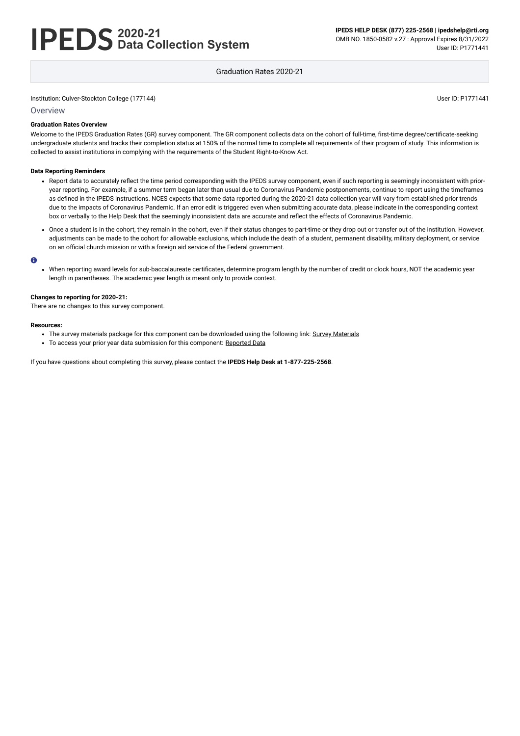# **2020-21 Data Collection System**

**IPEDS HELP DESK (877) 225-2568 | ipedshelp@rti.org** OMB NO. 1850-0582 v.27 : Approval Expires 8/31/2022 User ID: P1771441

Graduation Rates 2020-21

Institution: Culver-Stockton College (177144) User ID: P1771441

**Overview** 

#### **Graduation Rates Overview**

Welcome to the IPEDS Graduation Rates (GR) survey component. The GR component collects data on the cohort of full-time, first-time degree/certificate-seeking undergraduate students and tracks their completion status at 150% of the normal time to complete all requirements of their program of study. This information is collected to assist institutions in complying with the requirements of the Student Right-to-Know Act.

#### **Data Reporting Reminders**

- The survey materials package for this component can be downloaded using the following link: Survey [Materials](https://surveys.nces.ed.gov/ipeds/public/survey-materials/index)
- To access your prior year data submission for this component: [Reported Data](https://surveys.nces.ed.gov/IPEDS_py/DataForms.aspx?f0e9e4efc4dfb8acb2b2acafafa1eef0edf1e0f4c4dfb8afa1f0eee0edc4dfb8cbacb2b2acafafaca1f0e9e4efc9dce8e0b8bef0e7f1e0eda8ceefeadee6efeae99bbeeae7e7e0e2e0a1ebedeadee0eeeeb8e0f3efe0ede9dce7a1eddfefb8adaaafaaadabadac9bacacb5b0b3b5acab9bbcc8)
- Report data to accurately reflect the time period corresponding with the IPEDS survey component, even if such reporting is seemingly inconsistent with prioryear reporting. For example, if a summer term began later than usual due to Coronavirus Pandemic postponements, continue to report using the timeframes as defined in the IPEDS instructions. NCES expects that some data reported during the 2020-21 data collection year will vary from established prior trends due to the impacts of Coronavirus Pandemic. If an error edit is triggered even when submitting accurate data, please indicate in the corresponding context box or verbally to the Help Desk that the seemingly inconsistent data are accurate and reflect the effects of Coronavirus Pandemic.
- Once a student is in the cohort, they remain in the cohort, even if their status changes to part-time or they drop out or transfer out of the institution. However, adjustments can be made to the cohort for allowable exclusions, which include the death of a student, permanent disability, military deployment, or service on an official church mission or with a foreign aid service of the Federal government.

#### $\bullet$

When reporting award levels for sub-baccalaureate certificates, determine program length by the number of credit or clock hours, NOT the academic year length in parentheses. The academic year length is meant only to provide context.

#### **Changes to reporting for 2020-21:**

There are no changes to this survey component.

#### **Resources:**

If you have questions about completing this survey, please contact the **IPEDS Help Desk at 1-877-225-2568**.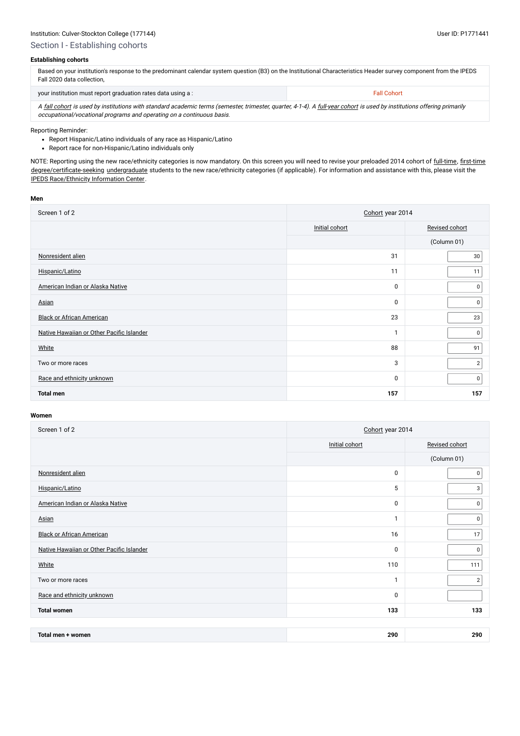### Institution: Culver-Stockton College (177144) User ID: P1771441

# Section I - Establishing cohorts

#### **Establishing cohorts**

Based on your institution's response to the predominant calendar system question (B3) on the Institutional Characteristics Header survey component from the IPEDS Fall 2020 data collection,

your institution must report graduation rates data using a : Fall Cohort Company of Transmission of Transmission

A [fall cohort](javascript:openglossary(219)) is used by institutions with standard academic terms (semester, trimester, quarter, 4-1-4). A [full-year cohort](javascript:openglossary(261)) is used by institutions offering primarily occupational/vocational programs and operating on a continuous basis.

NOTE: Reporting using the new race/ethnicity categories is now mandatory. On this screen you will need to revise your preloaded 2014 cohort of [full-time,](javascript:openglossary(259)) [first-time](javascript:openglossary(241)) [degree/certificate-seeking](javascript:openglossary(171)) [undergraduate](javascript:openglossary(677)) students to the new race/ethnicity categories (if applicable). For information and assistance with this, please visit the [IPEDS Race/Ethnicity](https://nces.ed.gov/ipeds/report-your-data/resource-center-race-ethnicity) Information Center.

#### Reporting Reminder:

- Report Hispanic/Latino individuals of any race as Hispanic/Latino
- Report race for non-Hispanic/Latino individuals only

#### **Men**

| Screen 1 of 2                             | Cohort year 2014 |                |  |
|-------------------------------------------|------------------|----------------|--|
|                                           | Initial cohort   | Revised cohort |  |
|                                           |                  | (Column 01)    |  |
| Nonresident alien                         | 31               | $30\,$         |  |
| Hispanic/Latino                           | 11               | 11             |  |
| American Indian or Alaska Native          | $\mathbf 0$      | 0              |  |
| Asian                                     | $\pmb{0}$        | 0              |  |
| <b>Black or African American</b>          | 23               | 23             |  |
| Native Hawaiian or Other Pacific Islander | -1               | $\mathbf 0$    |  |
| <b>White</b>                              | 88               | 91             |  |
| Two or more races                         | 3                | $\mathbf{2}$   |  |
| Race and ethnicity unknown                | $\mathbf 0$      | 0              |  |
| <b>Total men</b>                          | 157              | 157            |  |

| Screen 1 of 2                             | Cohort year 2014 |                |  |
|-------------------------------------------|------------------|----------------|--|
|                                           | Initial cohort   | Revised cohort |  |
|                                           |                  | (Column 01)    |  |
| Nonresident alien                         | $\pmb{0}$        | 0              |  |
| Hispanic/Latino                           | 5                | $\mathbf{3}$   |  |
| American Indian or Alaska Native          | 0                | $\pmb{0}$      |  |
| Asian                                     | 1                | $\pmb{0}$      |  |
| <b>Black or African American</b>          | 16               | 17             |  |
| Native Hawaiian or Other Pacific Islander | 0                | 0              |  |
| White                                     | 110              | 111            |  |
| Two or more races                         | 1                | $\mathbf{2}$   |  |
| Race and ethnicity unknown                | 0                |                |  |
| <b>Total women</b>                        | 133              | 133            |  |

| Total men + women | 290<br>$\sim$ | 290 |
|-------------------|---------------|-----|
|-------------------|---------------|-----|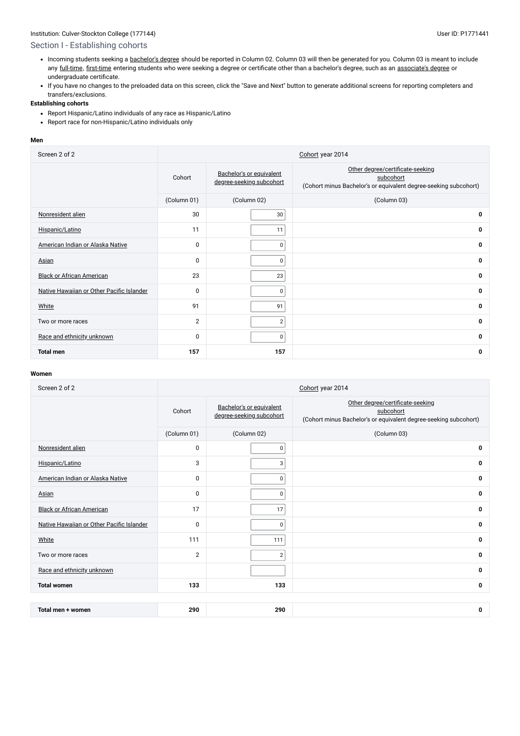# Institution: Culver-Stockton College (177144) Collection: Culver-Stockton College (1771441

# Section I - Establishing cohorts

- Incoming students seeking a [bachelor's](javascript:openglossary(77)) degree should be reported in Column 02. Column 03 will then be generated for you. Column 03 is meant to include any [full-time](javascript:openglossary(259)), [first-time](javascript:openglossary(241)) entering students who were seeking a degree or certificate other than a bachelor's degree, such as an [associate's](javascript:openglossary(55)) degree or undergraduate certificate.
- If you have no changes to the preloaded data on this screen, click the "Save and Next" button to generate additional screens for reporting completers and transfers/exclusions.

- Report Hispanic/Latino individuals of any race as Hispanic/Latino
- Report race for non-Hispanic/Latino individuals only

#### **Establishing cohorts**

#### **Men**

| Screen 2 of 2                             | Cohort year 2014 |                                                      |                                                                                                                   |  |  |
|-------------------------------------------|------------------|------------------------------------------------------|-------------------------------------------------------------------------------------------------------------------|--|--|
|                                           | Cohort           | Bachelor's or equivalent<br>degree-seeking subcohort | Other degree/certificate-seeking<br>subcohort<br>(Cohort minus Bachelor's or equivalent degree-seeking subcohort) |  |  |
|                                           | (Column 01)      | (Column 02)                                          | (Column 03)                                                                                                       |  |  |
| Nonresident alien                         | 30               | 30                                                   | $\mathbf 0$                                                                                                       |  |  |
| Hispanic/Latino                           | 11               | 11                                                   | $\mathbf 0$                                                                                                       |  |  |
| American Indian or Alaska Native          | 0                | 0                                                    | $\mathbf 0$                                                                                                       |  |  |
| <b>Asian</b>                              | 0                | $\mathbf 0$                                          | $\mathbf 0$                                                                                                       |  |  |
| <b>Black or African American</b>          | 23               | 23                                                   | $\mathbf 0$                                                                                                       |  |  |
| Native Hawaiian or Other Pacific Islander | $\mathbf 0$      | $\mathbf 0$                                          | $\mathbf 0$                                                                                                       |  |  |
| <b>White</b>                              | 91               | 91                                                   | $\mathbf 0$                                                                                                       |  |  |
| Two or more races                         | $\overline{2}$   | $\overline{c}$                                       | $\mathbf 0$                                                                                                       |  |  |
| Race and ethnicity unknown                | 0                | $\mathbf 0$                                          | $\mathbf 0$                                                                                                       |  |  |
| <b>Total men</b>                          | 157              | 157                                                  | 0                                                                                                                 |  |  |

| Screen 2 of 2                             | Cohort year 2014 |                                                      |                                                                                                                   |  |  |
|-------------------------------------------|------------------|------------------------------------------------------|-------------------------------------------------------------------------------------------------------------------|--|--|
|                                           | Cohort           | Bachelor's or equivalent<br>degree-seeking subcohort | Other degree/certificate-seeking<br>subcohort<br>(Cohort minus Bachelor's or equivalent degree-seeking subcohort) |  |  |
|                                           | (Column 01)      | (Column 02)                                          | (Column 03)                                                                                                       |  |  |
| Nonresident alien                         | $\mathbf 0$      | 0                                                    | 0                                                                                                                 |  |  |
| Hispanic/Latino                           | 3                | 3                                                    | 0                                                                                                                 |  |  |
| American Indian or Alaska Native          | $\mathbf 0$      | 0                                                    | 0                                                                                                                 |  |  |
| <b>Asian</b>                              | $\mathbf 0$      | $\mathbf 0$                                          | 0                                                                                                                 |  |  |
| <b>Black or African American</b>          | 17               | 17                                                   | 0                                                                                                                 |  |  |
| Native Hawaiian or Other Pacific Islander | $\mathbf 0$      | 0                                                    | 0                                                                                                                 |  |  |
| <b>White</b>                              | 111              | 111                                                  | 0                                                                                                                 |  |  |
| Two or more races                         | $\overline{2}$   | $\mathbf{2}$                                         | 0                                                                                                                 |  |  |
| Race and ethnicity unknown                |                  |                                                      | 0                                                                                                                 |  |  |
| <b>Total women</b>                        | 133              | 133                                                  | 0                                                                                                                 |  |  |

| women<br>iotal<br>. men | 290<br>-- | 290 |  |
|-------------------------|-----------|-----|--|
|-------------------------|-----------|-----|--|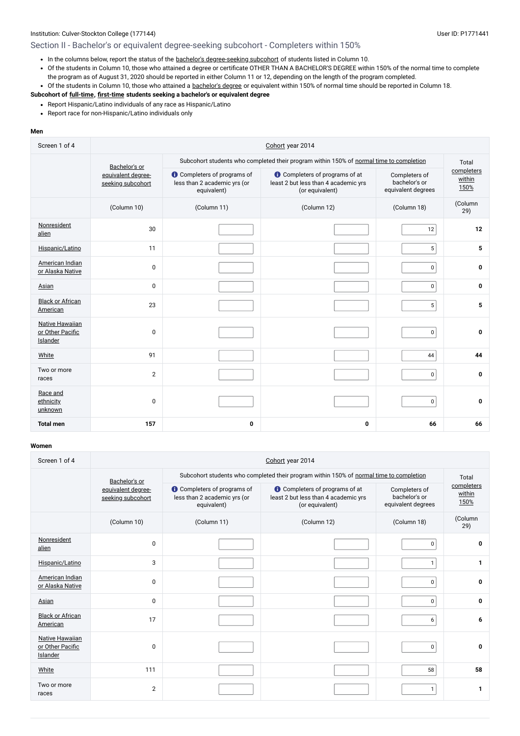#### Institution: Culver-Stockton College (177144) User ID: P1771441

# Section II - Bachelor's or equivalent degree-seeking subcohort - Completers within 150%

- In the columns below, report the status of the bachelor's [degree-seeking](javascript:openglossary(79)) subcohort of students listed in Column 10.
- Of the students in Column 10, those who attained a degree or certificate OTHER THAN A BACHELOR'S DEGREE within 150% of the normal time to complete the program as of August 31, 2020 should be reported in either Column 11 or 12, depending on the length of the program completed.
- Of the students in Column 10, those who attained a [bachelor's](javascript:openglossary(77)) degree or equivalent within 150% of normal time should be reported in Column 18.

- Report Hispanic/Latino individuals of any race as Hispanic/Latino
- Report race for non-Hispanic/Latino individuals only

### **Subcohort of [full-time](javascript:openglossary(259)), [first-time](javascript:openglossary(241)) students seeking a bachelor's or equivalent degree**

#### **Men**

| Screen 1 of 4                                          | Cohort year 2014                        |                                                                                   |                                                                                                  |                                                      |                              |  |  |
|--------------------------------------------------------|-----------------------------------------|-----------------------------------------------------------------------------------|--------------------------------------------------------------------------------------------------|------------------------------------------------------|------------------------------|--|--|
|                                                        | Bachelor's or                           |                                                                                   | Subcohort students who completed their program within 150% of normal time to completion          |                                                      | Total                        |  |  |
|                                                        | equivalent degree-<br>seeking subcohort | <b>O</b> Completers of programs of<br>less than 2 academic yrs (or<br>equivalent) | <b>O</b> Completers of programs of at<br>least 2 but less than 4 academic yrs<br>(or equivalent) | Completers of<br>bachelor's or<br>equivalent degrees | completers<br>within<br>150% |  |  |
|                                                        | (Column 10)                             | (Column 11)                                                                       | (Column 12)                                                                                      | (Column 18)                                          | (Column<br>29)               |  |  |
| Nonresident<br>alien                                   | 30                                      |                                                                                   |                                                                                                  | 12                                                   | 12                           |  |  |
| Hispanic/Latino                                        | 11                                      |                                                                                   |                                                                                                  | $5\phantom{.0}$                                      | $5\phantom{1}$               |  |  |
| American Indian<br>or Alaska Native                    | $\pmb{0}$                               |                                                                                   |                                                                                                  | $\pmb{0}$                                            | $\pmb{0}$                    |  |  |
| <b>Asian</b>                                           | 0                                       |                                                                                   |                                                                                                  | $\mathbf 0$                                          | $\mathbf 0$                  |  |  |
| <b>Black or African</b><br>American                    | 23                                      |                                                                                   |                                                                                                  | $5\phantom{.0}$                                      | 5                            |  |  |
| <b>Native Hawaiian</b><br>or Other Pacific<br>Islander | 0                                       |                                                                                   |                                                                                                  | $\pmb{0}$                                            | 0                            |  |  |
| White                                                  | 91                                      |                                                                                   |                                                                                                  | 44                                                   | 44                           |  |  |
| Two or more<br>races                                   | $\overline{2}$                          |                                                                                   |                                                                                                  | $\mathbf 0$                                          | $\mathbf 0$                  |  |  |
| Race and<br>ethnicity<br>unknown                       | 0                                       |                                                                                   |                                                                                                  | $\pmb{0}$                                            | 0                            |  |  |
| <b>Total men</b>                                       | 157                                     | 0                                                                                 | $\mathbf 0$                                                                                      | 66                                                   | 66                           |  |  |

| Screen 1 of 4                                                 | Cohort year 2014                        |                                                                                   |                                                                                                  |                                                                                         |                              |  |  |
|---------------------------------------------------------------|-----------------------------------------|-----------------------------------------------------------------------------------|--------------------------------------------------------------------------------------------------|-----------------------------------------------------------------------------------------|------------------------------|--|--|
|                                                               | Bachelor's or                           |                                                                                   |                                                                                                  | Subcohort students who completed their program within 150% of normal time to completion |                              |  |  |
|                                                               | equivalent degree-<br>seeking subcohort | <b>O</b> Completers of programs of<br>less than 2 academic yrs (or<br>equivalent) | <b>t</b> Completers of programs of at<br>least 2 but less than 4 academic yrs<br>(or equivalent) | Completers of<br>bachelor's or<br>equivalent degrees                                    | completers<br>within<br>150% |  |  |
|                                                               | (Column 10)                             | (Column 11)                                                                       | (Column 12)                                                                                      | (Column 18)                                                                             | (Column<br>29)               |  |  |
| Nonresident<br>alien                                          | 0                                       |                                                                                   |                                                                                                  | $\pmb{0}$                                                                               | 0                            |  |  |
| Hispanic/Latino                                               | 3                                       |                                                                                   |                                                                                                  | 1                                                                                       | 1                            |  |  |
| American Indian<br>or Alaska Native                           | 0                                       |                                                                                   |                                                                                                  | 0                                                                                       | 0                            |  |  |
| Asian                                                         | 0                                       |                                                                                   |                                                                                                  | $\mathbf 0$                                                                             | $\mathbf 0$                  |  |  |
| <b>Black or African</b><br>American                           | 17                                      |                                                                                   |                                                                                                  | 6                                                                                       | 6                            |  |  |
| <b>Native Hawaiian</b><br>or Other Pacific<br><b>Islander</b> | 0                                       |                                                                                   |                                                                                                  | 0                                                                                       | 0                            |  |  |
| White                                                         | 111                                     |                                                                                   |                                                                                                  | 58                                                                                      | 58                           |  |  |
| Two or more<br>races                                          | $\overline{2}$                          |                                                                                   |                                                                                                  | $\mathbf{1}$                                                                            |                              |  |  |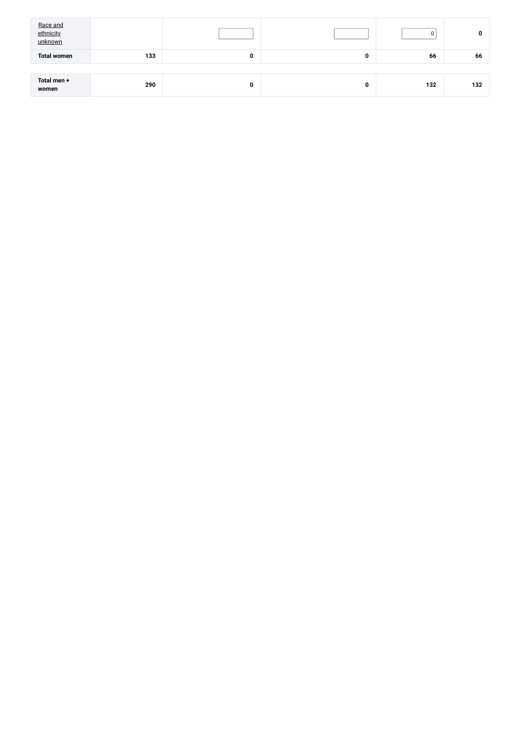| Race and<br>ethnicity<br>unknown |     |   |   |     | 0   |
|----------------------------------|-----|---|---|-----|-----|
| <b>Total women</b>               | 133 | 0 | 0 | 66  | 66  |
|                                  |     |   |   |     |     |
| Total men +<br>women             | 290 | 0 | 0 | 132 | 132 |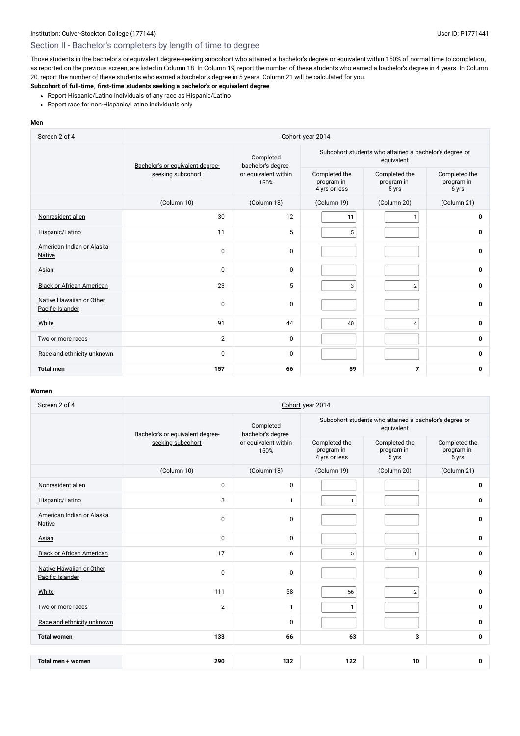# Section II - Bachelor's completers by length of time to degree

Those students in the bachelor's or equivalent [degree-seeking](javascript:openglossary(79)) subcohort who attained a [bachelor's](javascript:openglossary(77)) degree or equivalent within 150% of normal time to [completion](javascript:openglossary(421)), as reported on the previous screen, are listed in Column 18. In Column 19, report the number of these students who earned a bachelor's degree in 4 years. In Column 20, report the number of these students who earned a bachelor's degree in 5 years. Column 21 will be calculated for you.

- Report Hispanic/Latino individuals of any race as Hispanic/Latino
- Report race for non-Hispanic/Latino individuals only

#### **Subcohort of [full-time](javascript:openglossary(259)), [first-time](javascript:openglossary(241)) students seeking a bachelor's or equivalent degree**

#### **Men**

| Screen 2 of 4                                | Cohort year 2014                 |                                |                                              |                                      |                                                        |  |  |
|----------------------------------------------|----------------------------------|--------------------------------|----------------------------------------------|--------------------------------------|--------------------------------------------------------|--|--|
|                                              | Bachelor's or equivalent degree- | Completed<br>bachelor's degree |                                              | equivalent                           | Subcohort students who attained a bachelor's degree or |  |  |
|                                              | seeking subcohort                | or equivalent within<br>150%   | Completed the<br>program in<br>4 yrs or less | Completed the<br>program in<br>5 yrs | Completed the<br>program in<br>6 yrs                   |  |  |
|                                              | (Column 10)                      | (Column 18)                    | (Column 19)                                  | (Column 20)                          | (Column 21)                                            |  |  |
| Nonresident alien                            | 30                               | 12                             | 11                                           | $\mathbf{1}$                         | 0                                                      |  |  |
| Hispanic/Latino                              | 11                               | 5                              | $5\phantom{.0}$                              |                                      | $\mathbf 0$                                            |  |  |
| American Indian or Alaska<br><b>Native</b>   | $\pmb{0}$                        | $\pmb{0}$                      |                                              |                                      | $\mathbf 0$                                            |  |  |
| Asian                                        | $\mathbf 0$                      | $\mathbf 0$                    |                                              |                                      | $\mathbf 0$                                            |  |  |
| <b>Black or African American</b>             | 23                               | $\overline{5}$                 | 3                                            | $\overline{2}$                       | 0                                                      |  |  |
| Native Hawaiian or Other<br>Pacific Islander | $\pmb{0}$                        | $\pmb{0}$                      |                                              |                                      | $\mathbf 0$                                            |  |  |
| <b>White</b>                                 | 91                               | 44                             | 40                                           | $\overline{\mathbf{4}}$              | $\mathbf 0$                                            |  |  |
| Two or more races                            | $\overline{2}$                   | $\pmb{0}$                      |                                              |                                      | $\mathbf{0}$                                           |  |  |
| Race and ethnicity unknown                   | 0                                | $\pmb{0}$                      |                                              |                                      | 0                                                      |  |  |
| <b>Total men</b>                             | 157                              | 66                             | 59                                           | $\overline{7}$                       | 0                                                      |  |  |

| Screen 2 of 4                                | Cohort year 2014                 |                                |                                                                      |                                      |                                      |  |
|----------------------------------------------|----------------------------------|--------------------------------|----------------------------------------------------------------------|--------------------------------------|--------------------------------------|--|
|                                              | Bachelor's or equivalent degree- | Completed<br>bachelor's degree | Subcohort students who attained a bachelor's degree or<br>equivalent |                                      |                                      |  |
|                                              | seeking subcohort                | or equivalent within<br>150%   | Completed the<br>program in<br>4 yrs or less                         | Completed the<br>program in<br>5 yrs | Completed the<br>program in<br>6 yrs |  |
|                                              | (Column 10)                      | (Column 18)                    | (Column 19)                                                          | (Column 20)                          | (Column 21)                          |  |
| Nonresident alien                            | 0                                | $\pmb{0}$                      |                                                                      |                                      | 0                                    |  |
| Hispanic/Latino                              | 3                                | $\mathbf{1}$                   | 1                                                                    |                                      | 0                                    |  |
| American Indian or Alaska<br><b>Native</b>   | $\mathbf 0$                      | $\pmb{0}$                      |                                                                      |                                      | 0                                    |  |
| Asian                                        | 0                                | $\pmb{0}$                      |                                                                      |                                      | $\mathbf 0$                          |  |
| <b>Black or African American</b>             | 17                               | 6                              | 5                                                                    | $\mathbf{1}$                         | 0                                    |  |
| Native Hawaiian or Other<br>Pacific Islander | $\mathbf 0$                      | $\pmb{0}$                      |                                                                      |                                      | 0                                    |  |
| <b>White</b>                                 | 111                              | 58                             | 56                                                                   | $\mathbf 2$                          | 0                                    |  |
| Two or more races                            | $\overline{2}$                   | $\mathbf{1}$                   | $\mathbf{1}$                                                         |                                      | 0                                    |  |
| Race and ethnicity unknown                   |                                  | $\mathbf 0$                    |                                                                      |                                      | $\mathbf 0$                          |  |
| <b>Total women</b>                           | 133                              | 66                             | 63                                                                   | 3                                    | 0                                    |  |

| women<br>Tota<br>men | 290 | י ה<br>7 J Z | $\sim$<br>. | 10 |  |
|----------------------|-----|--------------|-------------|----|--|
|----------------------|-----|--------------|-------------|----|--|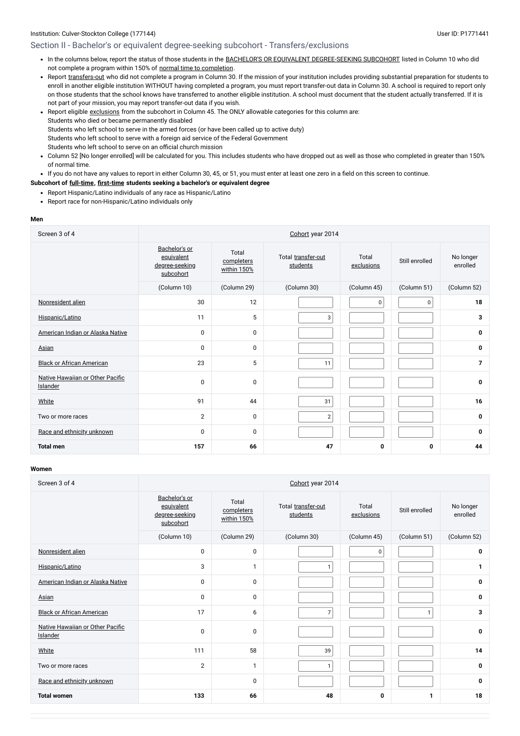#### Institution: Culver-Stockton College (177144) User ID: P1771441

## Section II - Bachelor's or equivalent degree-seeking subcohort - Transfers/exclusions

- . In the columns below, report the status of those students in the BACHELOR'S OR EQUIVALENT [DEGREE-SEEKING SUBCOHORT](javascript:openglossary(79)) listed in Column 10 who did not complete a program within 150% of normal time to [completion](javascript:openglossary(421)).
- Report [transfers-out](javascript:openglossary(657)) who did not complete a program in Column 30. If the mission of your institution includes providing substantial preparation for students to enroll in another eligible institution WITHOUT having completed a program, you must report transfer-out data in Column 30. A school is required to report only on those students that the school knows have transferred to another eligible institution. A school must document that the student actually transferred. If it is not part of your mission, you may report transfer-out data if you wish.
- Report eligible [exclusions](javascript:openglossary(207)) from the subcohort in Column 45. The ONLY allowable categories for this column are: Students who died or became permanently disabled Students who left school to serve in the armed forces (or have been called up to active duty) Students who left school to serve with a foreign aid service of the Federal Government Students who left school to serve on an official church mission
- Column 52 [No longer enrolled] will be calculated for you. This includes students who have dropped out as well as those who completed in greater than 150% of normal time.

• If you do not have any values to report in either Column 30, 45, or 51, you must enter at least one zero in a field on this screen to continue.

#### **Subcohort of [full-time](javascript:openglossary(259)), [first-time](javascript:openglossary(241)) students seeking a bachelor's or equivalent degree**

- Report Hispanic/Latino individuals of any race as Hispanic/Latino
- Report race for non-Hispanic/Latino individuals only

#### **Men**

| Screen 3 of 4                                | Cohort year 2014                                           |                                    |                                |                     |                |                       |  |  |  |
|----------------------------------------------|------------------------------------------------------------|------------------------------------|--------------------------------|---------------------|----------------|-----------------------|--|--|--|
|                                              | Bachelor's or<br>equivalent<br>degree-seeking<br>subcohort | Total<br>completers<br>within 150% | Total transfer-out<br>students | Total<br>exclusions | Still enrolled | No longer<br>enrolled |  |  |  |
|                                              | (Column 10)                                                | (Column 29)                        | (Column 30)                    | (Column 45)         | (Column 51)    | (Column 52)           |  |  |  |
| Nonresident alien                            | 30                                                         | 12                                 |                                | 0                   | $\mathbf{0}$   | 18                    |  |  |  |
| Hispanic/Latino                              | 11                                                         | 5                                  | 3                              |                     |                | 3                     |  |  |  |
| American Indian or Alaska Native             | $\mathbf 0$                                                | 0                                  |                                |                     |                | $\mathbf 0$           |  |  |  |
| <b>Asian</b>                                 | $\mathbf 0$                                                | $\pmb{0}$                          |                                |                     |                | $\mathbf 0$           |  |  |  |
| <b>Black or African American</b>             | 23                                                         | 5                                  | 11                             |                     |                | $\overline{7}$        |  |  |  |
| Native Hawaiian or Other Pacific<br>Islander | $\overline{0}$                                             | $\pmb{0}$                          |                                |                     |                | $\mathbf 0$           |  |  |  |
| <b>White</b>                                 | 91                                                         | 44                                 | 31                             |                     |                | 16                    |  |  |  |
| Two or more races                            | $\overline{2}$                                             | 0                                  | $\mathbf{2}$                   |                     |                | 0                     |  |  |  |
| Race and ethnicity unknown                   | 0                                                          | 0                                  |                                |                     |                | $\mathbf 0$           |  |  |  |
| <b>Total men</b>                             | 157                                                        | 66                                 | 47                             | 0                   | 0              | 44                    |  |  |  |

| Screen 3 of 4                                | Cohort year 2014                                           |                                    |                                |                     |                |                       |  |  |
|----------------------------------------------|------------------------------------------------------------|------------------------------------|--------------------------------|---------------------|----------------|-----------------------|--|--|
|                                              | Bachelor's or<br>equivalent<br>degree-seeking<br>subcohort | Total<br>completers<br>within 150% | Total transfer-out<br>students | Total<br>exclusions | Still enrolled | No longer<br>enrolled |  |  |
|                                              | (Column 10)                                                | (Column 29)                        | (Column 30)                    | (Column 45)         | (Column 51)    | (Column 52)           |  |  |
| Nonresident alien                            | 0                                                          | $\mathbf 0$                        |                                | $\mathsf{O}$        |                | $\mathbf 0$           |  |  |
| Hispanic/Latino                              | 3                                                          | $\mathbf{1}$                       | $\mathbf{1}$                   |                     |                | 1                     |  |  |
| American Indian or Alaska Native             | $\pmb{0}$                                                  | $\mathbf 0$                        |                                |                     |                | $\mathbf 0$           |  |  |
| <b>Asian</b>                                 | $\pmb{0}$                                                  | $\mathbf 0$                        |                                |                     |                | $\mathbf 0$           |  |  |
| <b>Black or African American</b>             | 17                                                         | 6                                  | $\overline{7}$                 |                     |                | 3                     |  |  |
| Native Hawaiian or Other Pacific<br>Islander | $\mathbf 0$                                                | $\pmb{0}$                          |                                |                     |                | $\mathbf 0$           |  |  |
| <b>White</b>                                 | 111                                                        | 58                                 | 39                             |                     |                | 14                    |  |  |
| Two or more races                            | $\overline{2}$                                             | 1                                  | $\mathbf{1}$                   |                     |                | $\mathbf 0$           |  |  |
| Race and ethnicity unknown                   |                                                            | $\mathbf 0$                        |                                |                     |                | $\mathbf 0$           |  |  |
| <b>Total women</b>                           | 133                                                        | 66                                 | 48                             | 0                   | $\mathbf 1$    | 18                    |  |  |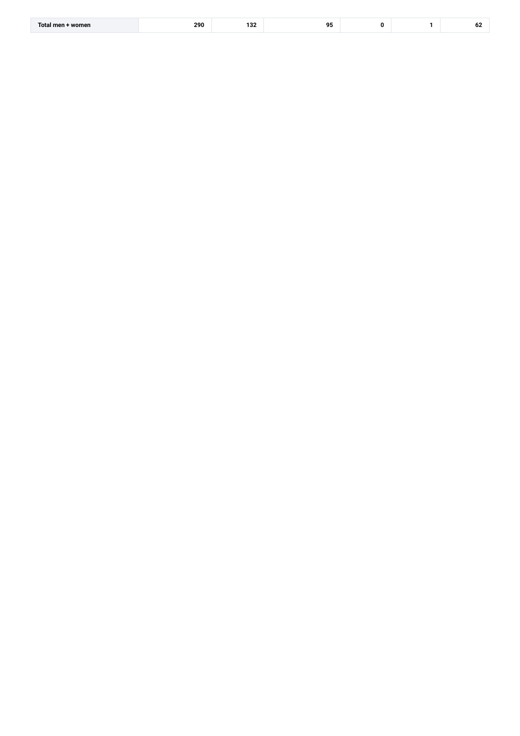| Total men<br>women | 290 | 100<br>. J. | 0 <sub>E</sub><br>. . | 0 | - -<br>OZ. |
|--------------------|-----|-------------|-----------------------|---|------------|
|                    |     |             |                       |   |            |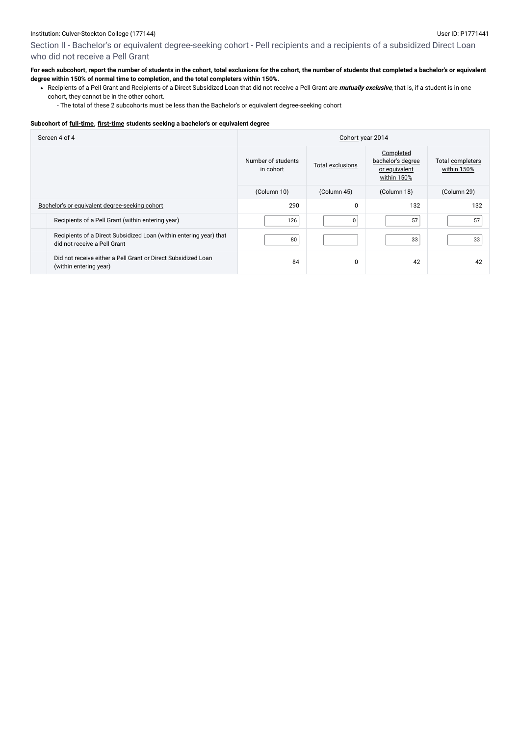### Institution: Culver-Stockton College (177144) Collective Collective Collective Collective Collective Collective Collective Collective Collective Collective Collective Collective Collective Collective Collective Collective

# Section II - Bachelor's or equivalent degree-seeking cohort - Pell recipients and a recipients of a subsidized Direct Loan who did not receive a Pell Grant

#### **For each subcohort, report the number of students in the cohort, total exclusions for the cohort, the number of students that completed a bachelor's or equivalent degree within 150% of normal time to completion, and the total completers within 150%.**

Recipients of a Pell Grant and Recipients of a Direct Subsidized Loan that did not receive a Pell Grant are **mutually exclusive**, that is, if a student is in one cohort, they cannot be in the other cohort.

- The total of these 2 subcohorts must be less than the Bachelor's or equivalent degree-seeking cohort

#### **Subcohort of [full-time](javascript:openglossary(259)), [first-time](javascript:openglossary(241)) students seeking a bachelor's or equivalent degree**

| Screen 4 of 4                                                                                      | Cohort year 2014                |                  |                                                                |                                 |  |  |
|----------------------------------------------------------------------------------------------------|---------------------------------|------------------|----------------------------------------------------------------|---------------------------------|--|--|
|                                                                                                    | Number of students<br>in cohort | Total exclusions | Completed<br>bachelor's degree<br>or equivalent<br>within 150% | Total completers<br>within 150% |  |  |
|                                                                                                    | (Column 10)                     | (Column 45)      | (Column 18)                                                    | (Column 29)                     |  |  |
| Bachelor's or equivalent degree-seeking cohort                                                     | 290                             | 0                | 132                                                            | 132                             |  |  |
| Recipients of a Pell Grant (within entering year)                                                  | 126                             | 0                | 57                                                             | 57                              |  |  |
| Recipients of a Direct Subsidized Loan (within entering year) that<br>did not receive a Pell Grant | 80                              |                  | 33                                                             | 33                              |  |  |
| Did not receive either a Pell Grant or Direct Subsidized Loan<br>(within entering year)            | 84                              | 0                | 42                                                             | 42                              |  |  |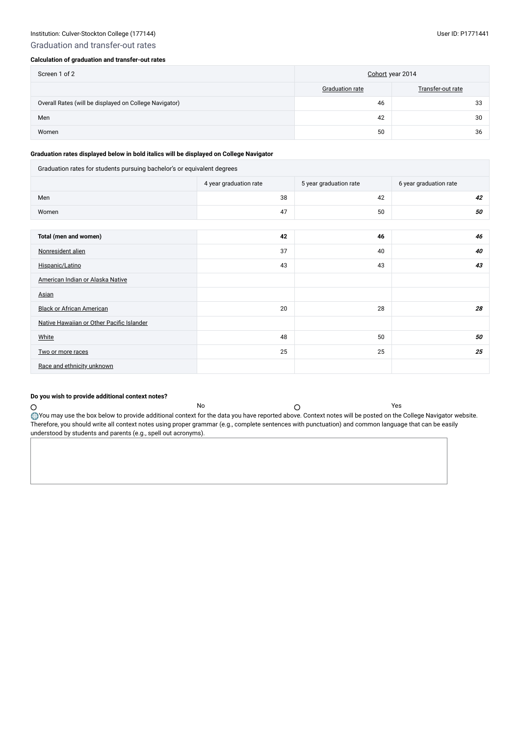## Institution: Culver-Stockton College (177144) Collection: Culver-Stockton College (1771441

### Graduation and transfer-out rates

#### **Calculation of graduation and transfer-out rates**

| Screen 1 of 2                                          | Cohort year 2014       |                   |  |
|--------------------------------------------------------|------------------------|-------------------|--|
|                                                        | <b>Graduation rate</b> | Transfer-out rate |  |
| Overall Rates (will be displayed on College Navigator) | 46                     | 33                |  |
| Men                                                    | 42                     | 30                |  |
| Women                                                  | 50                     | 36                |  |

#### **Graduation rates displayed below in bold italics will be displayed on College Navigator**

 $\bigcirc$ No  $\bigcirc$ You may use the box below to provide additional context for the data you have reported above. Context notes will be posted on the College Navigator website. Therefore, you should write all context notes using proper grammar (e.g., complete sentences with punctuation) and common language that can be easily

| Graduation rates for students pursuing bachelor's or equivalent degrees |                        |                        |                        |  |  |  |  |
|-------------------------------------------------------------------------|------------------------|------------------------|------------------------|--|--|--|--|
|                                                                         | 4 year graduation rate | 5 year graduation rate | 6 year graduation rate |  |  |  |  |
| Men                                                                     | 38                     | 42                     | 42                     |  |  |  |  |
| Women                                                                   | 47                     | 50                     | 50                     |  |  |  |  |
|                                                                         |                        |                        |                        |  |  |  |  |
| Total (men and women)                                                   | 42                     | 46                     | 46                     |  |  |  |  |
| Nonresident alien                                                       | 37                     | 40                     | 40                     |  |  |  |  |
| Hispanic/Latino                                                         | 43                     | 43                     | 43                     |  |  |  |  |
| American Indian or Alaska Native                                        |                        |                        |                        |  |  |  |  |
| <b>Asian</b>                                                            |                        |                        |                        |  |  |  |  |
| <b>Black or African American</b>                                        | 20                     | 28                     | 28                     |  |  |  |  |
| Native Hawaiian or Other Pacific Islander                               |                        |                        |                        |  |  |  |  |
| <b>White</b>                                                            | 48                     | 50                     | 50                     |  |  |  |  |
| Two or more races                                                       | 25                     | 25                     | 25                     |  |  |  |  |
| Race and ethnicity unknown                                              |                        |                        |                        |  |  |  |  |

#### **Do you wish to provide additional context notes?**

understood by students and parents (e.g., spell out acronyms).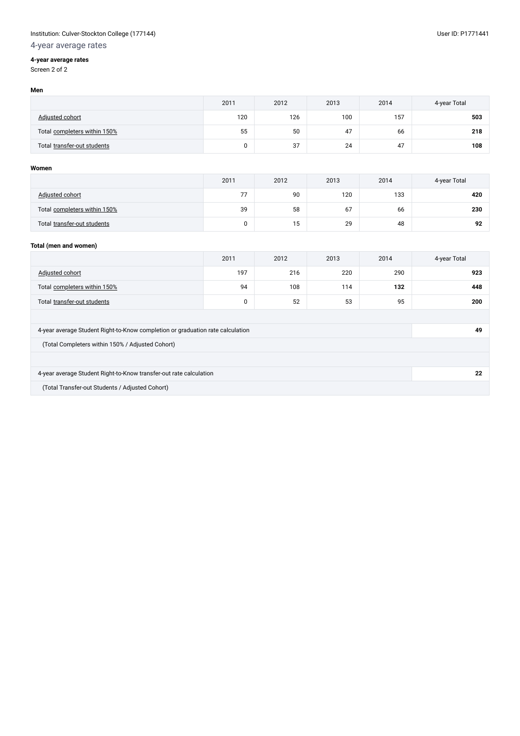### Institution: Culver-Stockton College (177144) Collective Collective Collective Collective Collective Collective Collective Collective Collective Collective Collective Collective Collective Collective Collective Collective

# 4-year average rates

# **4-year average rates**

Screen 2 of 2

#### **Men**

|                              | 2011 | 2012 | 2013 | 2014 | 4-year Total |
|------------------------------|------|------|------|------|--------------|
| <b>Adjusted cohort</b>       | 120  | 126  | 100  | 157  | 503          |
| Total completers within 150% | 55   | 50   | 47   | 66   | 218          |
| Total transfer-out students  |      | 37   | 24   | 47   | 108          |

#### **Women**

|                              | 2011 | 2012 | 2013 | 2014 | 4-year Total |
|------------------------------|------|------|------|------|--------------|
| Adjusted cohort              | 77   | 90   | 120  | 133  | 420          |
| Total completers within 150% | 39   | 58   | 67   | 66   | 230          |
| Total transfer-out students  |      | 15   | 29   | 48   | 92           |

# **Total (men and women)**

|                                                                                | 2011 | 2012 | 2013 | 2014 | 4-year Total |  |  |
|--------------------------------------------------------------------------------|------|------|------|------|--------------|--|--|
| Adjusted cohort                                                                | 197  | 216  | 220  | 290  | 923          |  |  |
| Total completers within 150%                                                   | 94   | 108  | 114  | 132  | 448          |  |  |
| Total transfer-out students                                                    | 0    | 52   | 53   | 95   | 200          |  |  |
|                                                                                |      |      |      |      |              |  |  |
| 4-year average Student Right-to-Know completion or graduation rate calculation |      |      |      |      | 49           |  |  |
| (Total Completers within 150% / Adjusted Cohort)                               |      |      |      |      |              |  |  |
|                                                                                |      |      |      |      |              |  |  |
| 4-year average Student Right-to-Know transfer-out rate calculation             | 22   |      |      |      |              |  |  |
| (Total Transfer-out Students / Adjusted Cohort)                                |      |      |      |      |              |  |  |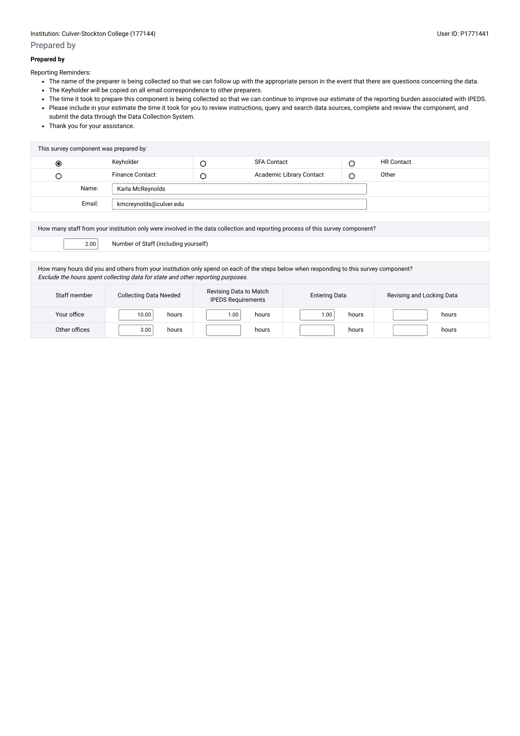#### Institution: Culver-Stockton College (177144) Contract to the User ID: P1771441

# Prepared by

#### **Prepared by**

Reporting Reminders:

- The name of the preparer is being collected so that we can follow up with the appropriate person in the event that there are questions concerning the data.
- The Keyholder will be copied on all email correspondence to other preparers.
- The time it took to prepare this component is being collected so that we can continue to improve our estimate of the reporting burden associated with IPEDS.
- Please include in your estimate the time it took for you to review instructions, query and search data sources, complete and review the component, and submit the data through the Data Collection System.
- Thank you for your assistance.

| This survey component was prepared by: |                        |   |                          |   |                   |  |  |
|----------------------------------------|------------------------|---|--------------------------|---|-------------------|--|--|
| $\bullet$                              | Keyholder              |   | <b>SFA Contact</b>       |   | <b>HR Contact</b> |  |  |
| $\bigcirc$                             | <b>Finance Contact</b> | O | Academic Library Contact | О | Other             |  |  |
| Name:                                  | Karla McReynolds       |   |                          |   |                   |  |  |
| Email:                                 | kmcreynolds@culver.edu |   |                          |   |                   |  |  |

| How many staff from your institution only were involved in the data collection and reporting process of this survey component? |                                      |  |  |  |  |  |
|--------------------------------------------------------------------------------------------------------------------------------|--------------------------------------|--|--|--|--|--|
| 2.00                                                                                                                           | Number of Staff (including yourself) |  |  |  |  |  |

How many hours did you and others from your institution only spend on each of the steps below when responding to this survey component? Exclude the hours spent collecting data for state and other reporting purposes.

| Staff member  | <b>Collecting Data Needed</b> | Revising Data to Match<br><b>IPEDS Requirements</b> | <b>Entering Data</b> | Revising and Locking Data |  |
|---------------|-------------------------------|-----------------------------------------------------|----------------------|---------------------------|--|
| Your office   | 10.00<br>hours                | 00،،<br>hours                                       | 0.00<br>hours        | hours                     |  |
| Other offices | 3.00<br>hours                 | hours                                               | hours                | hours                     |  |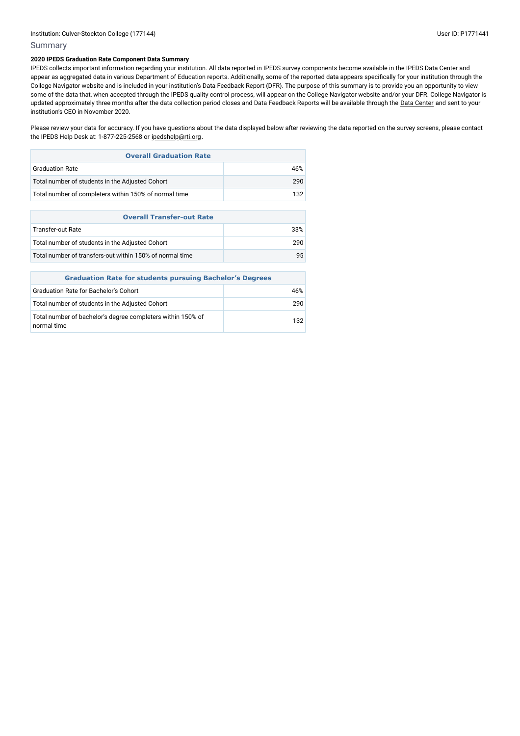#### Summary

#### **2020 IPEDS Graduation Rate Component Data Summary**

Please review your data for accuracy. If you have questions about the data displayed below after reviewing the data reported on the survey screens, please contact the IPEDS Help Desk at: 1-877-225-2568 or [ipedshelp@rti.org](mailto:ipedshelp@rti.org).

IPEDS collects important information regarding your institution. All data reported in IPEDS survey components become available in the IPEDS Data Center and appear as aggregated data in various Department of Education reports. Additionally, some of the reported data appears specifically for your institution through the College Navigator website and is included in your institution's Data Feedback Report (DFR). The purpose of this summary is to provide you an opportunity to view some of the data that, when accepted through the IPEDS quality control process, will appear on the College Navigator website and/or your DFR. College Navigator is updated approximately three months after the data collection period closes and Data Feedback Reports will be available through the Data [Center](https://nces.ed.gov/ipeds/use-the-data) and sent to your institution's CEO in November 2020.

| <b>Overall Graduation Rate</b>                        |      |  |  |  |
|-------------------------------------------------------|------|--|--|--|
| <b>Graduation Rate</b>                                | 46%  |  |  |  |
| Total number of students in the Adjusted Cohort       | 290. |  |  |  |
| Total number of completers within 150% of normal time | 132  |  |  |  |

| <b>Overall Transfer-out Rate</b>                         |      |  |  |  |
|----------------------------------------------------------|------|--|--|--|
| Transfer-out Rate                                        | 33%  |  |  |  |
| Total number of students in the Adjusted Cohort          | 290. |  |  |  |
| Total number of transfers-out within 150% of normal time | 95   |  |  |  |

| <b>Graduation Rate for students pursuing Bachelor's Degrees</b>            |      |  |  |  |
|----------------------------------------------------------------------------|------|--|--|--|
| <b>Graduation Rate for Bachelor's Cohort</b>                               | 46%  |  |  |  |
| Total number of students in the Adjusted Cohort                            | 290. |  |  |  |
| Total number of bachelor's degree completers within 150% of<br>normal time | 132. |  |  |  |